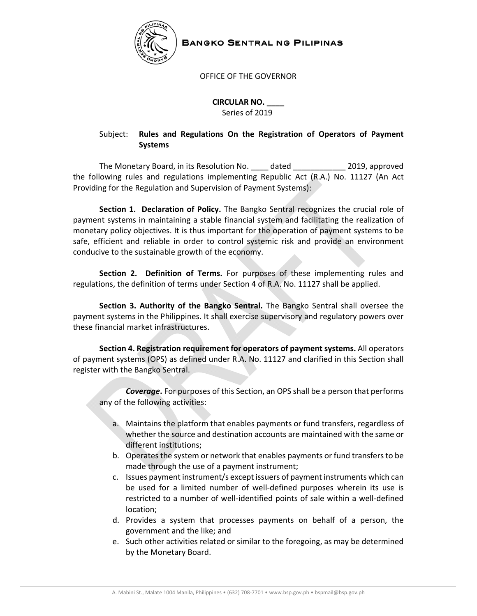

**BANGKO SENTRAL NG PILIPINAS** 

### OFFICE OF THE GOVERNOR

 **CIRCULAR NO. \_\_\_\_** Series of 2019

# Subject: **Rules and Regulations On the Registration of Operators of Payment Systems**

The Monetary Board, in its Resolution No. \_\_\_\_ dated \_\_\_\_\_\_\_\_\_\_\_\_ 2019, approved the following rules and regulations implementing Republic Act (R.A.) No. 11127 (An Act Providing for the Regulation and Supervision of Payment Systems):

**Section 1. Declaration of Policy.** The Bangko Sentral recognizes the crucial role of payment systems in maintaining a stable financial system and facilitating the realization of monetary policy objectives. It is thus important for the operation of payment systems to be safe, efficient and reliable in order to control systemic risk and provide an environment conducive to the sustainable growth of the economy.

**Section 2. Definition of Terms.** For purposes of these implementing rules and regulations, the definition of terms under Section 4 of R.A. No. 11127 shall be applied.

**Section 3. Authority of the Bangko Sentral.** The Bangko Sentral shall oversee the payment systems in the Philippines. It shall exercise supervisory and regulatory powers over these financial market infrastructures.

**Section 4. Registration requirement for operators of payment systems.** All operators of payment systems (OPS) as defined under R.A. No. 11127 and clarified in this Section shall register with the Bangko Sentral.

*Coverage***.** For purposes of this Section, an OPS shall be a person that performs any of the following activities:

- a. Maintains the platform that enables payments or fund transfers, regardless of whether the source and destination accounts are maintained with the same or different institutions;
- b. Operates the system or network that enables payments or fund transfers to be made through the use of a payment instrument;
- c. Issues payment instrument/s except issuers of payment instruments which can be used for a limited number of well-defined purposes wherein its use is restricted to a number of well‐identified points of sale within a well‐defined location;
- d. Provides a system that processes payments on behalf of a person, the government and the like; and
- e. Such other activities related or similar to the foregoing, as may be determined by the Monetary Board.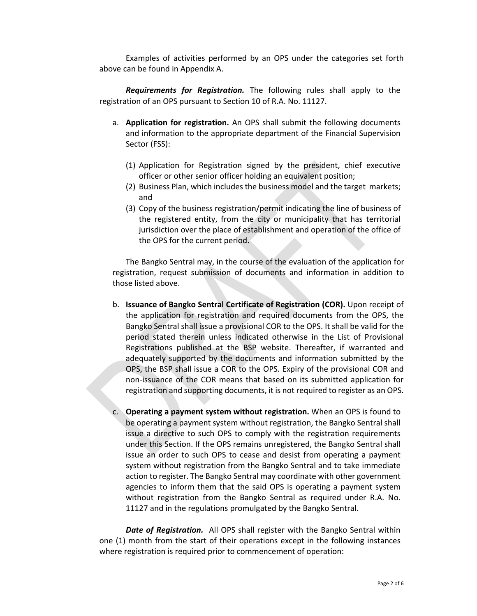Examples of activities performed by an OPS under the categories set forth above can be found in Appendix A.

*Requirements for Registration.* The following rules shall apply to the registration of an OPS pursuant to Section 10 of R.A. No. 11127.

- a. **Application for registration.** An OPS shall submit the following documents and information to the appropriate department of the Financial Supervision Sector (FSS):
	- (1) Application for Registration signed by the president, chief executive officer or other senior officer holding an equivalent position;
	- (2) Business Plan, which includes the business model and the target markets; and
	- (3) Copy of the business registration/permit indicating the line of business of the registered entity, from the city or municipality that has territorial jurisdiction over the place of establishment and operation of the office of the OPS for the current period.

The Bangko Sentral may, in the course of the evaluation of the application for registration, request submission of documents and information in addition to those listed above.

- b. **Issuance of Bangko Sentral Certificate of Registration (COR).** Upon receipt of the application for registration and required documents from the OPS, the Bangko Sentral shall issue a provisional COR to the OPS. It shall be valid for the period stated therein unless indicated otherwise in the List of Provisional Registrations published at the BSP website. Thereafter, if warranted and adequately supported by the documents and information submitted by the OPS, the BSP shall issue a COR to the OPS. Expiry of the provisional COR and non‐issuance of the COR means that based on its submitted application for registration and supporting documents, it is not required to register as an OPS.
- c. **Operating a payment system without registration.** When an OPS is found to be operating a payment system without registration, the Bangko Sentral shall issue a directive to such OPS to comply with the registration requirements under this Section. If the OPS remains unregistered, the Bangko Sentral shall issue an order to such OPS to cease and desist from operating a payment system without registration from the Bangko Sentral and to take immediate action to register. The Bangko Sentral may coordinate with other government agencies to inform them that the said OPS is operating a payment system without registration from the Bangko Sentral as required under R.A. No. 11127 and in the regulations promulgated by the Bangko Sentral.

*Date of Registration.* All OPS shall register with the Bangko Sentral within one (1) month from the start of their operations except in the following instances where registration is required prior to commencement of operation: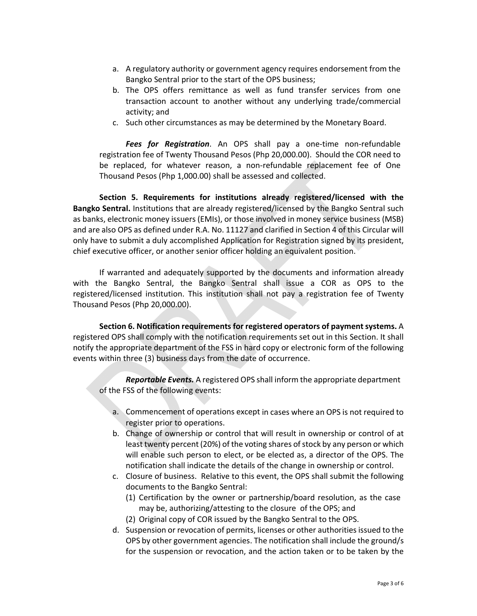- a. A regulatory authority or government agency requires endorsement from the Bangko Sentral prior to the start of the OPS business;
- b. The OPS offers remittance as well as fund transfer services from one transaction account to another without any underlying trade/commercial activity; and
- c. Such other circumstances as may be determined by the Monetary Board.

*Fees for Registration*. An OPS shall pay a one‐time non‐refundable registration fee of Twenty Thousand Pesos (Php 20,000.00). Should the COR need to be replaced, for whatever reason, a non-refundable replacement fee of One Thousand Pesos (Php 1,000.00) shall be assessed and collected.

**Section 5. Requirements for institutions already registered/licensed with the Bangko Sentral.** Institutions that are already registered/licensed by the Bangko Sentral such as banks, electronic money issuers (EMIs), or those involved in money service business (MSB) and are also OPS as defined under R.A. No. 11127 and clarified in Section 4 of this Circular will only have to submit a duly accomplished Application for Registration signed by its president, chief executive officer, or another senior officer holding an equivalent position.

If warranted and adequately supported by the documents and information already with the Bangko Sentral, the Bangko Sentral shall issue a COR as OPS to the registered/licensed institution. This institution shall not pay a registration fee of Twenty Thousand Pesos (Php 20,000.00).

**Section 6. Notification requirements for registered operators of paymentsystems.** A registered OPS shall comply with the notification requirements set out in this Section. It shall notify the appropriate department of the FSS in hard copy or electronic form of the following events within three (3) business days from the date of occurrence.

*Reportable Events.* A registered OPS shall inform the appropriate department of the FSS of the following events:

- a. Commencement of operations except in cases where an OPS is not required to register prior to operations.
- b. Change of ownership or control that will result in ownership or control of at least twenty percent (20%) of the voting shares of stock by any person or which will enable such person to elect, or be elected as, a director of the OPS. The notification shall indicate the details of the change in ownership or control.
- c. Closure of business. Relative to this event, the OPS shall submit the following documents to the Bangko Sentral:
	- (1) Certification by the owner or partnership/board resolution, as the case may be, authorizing/attesting to the closure of the OPS; and
	- (2) Original copy of COR issued by the Bangko Sentral to the OPS.
- d. Suspension or revocation of permits, licenses or other authorities issued to the OPS by other government agencies. The notification shall include the ground/s for the suspension or revocation, and the action taken or to be taken by the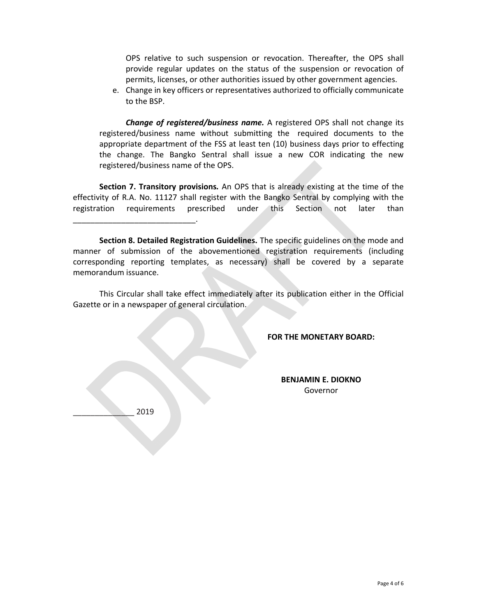OPS relative to such suspension or revocation. Thereafter, the OPS shall provide regular updates on the status of the suspension or revocation of permits, licenses, or other authorities issued by other government agencies.

e. Change in key officers or representatives authorized to officially communicate to the BSP.

*Change of registered/business name.* A registered OPS shall not change its registered/business name without submitting the required documents to the appropriate department of the FSS at least ten (10) business days prior to effecting the change. The Bangko Sentral shall issue a new COR indicating the new registered/business name of the OPS.

**Section 7. Transitory provisions***.* An OPS that is already existing at the time of the effectivity of R.A. No. 11127 shall register with the Bangko Sentral by complying with the registration requirements prescribed under this Section not later than

This Circular shall take effect immediately after its publication either in the Official Gazette or in a newspaper of general circulation.

#### **FOR THE MONETARY BOARD:**

**BENJAMIN E. DIOKNO** Governor

\_\_\_\_\_\_\_\_\_\_\_\_\_\_ 2019

and the state of the state of the

\_\_\_\_\_\_\_\_\_\_\_\_\_\_\_\_\_\_\_\_\_\_\_\_\_\_\_\_.

the contract of the contract of the contract of

the contract of the contract of the contract of the contract of the contract of

**Section 8. Detailed Registration Guidelines.** The specific guidelines on the mode and manner of submission of the abovementioned registration requirements (including corresponding reporting templates, as necessary) shall be covered by a separate memorandum issuance.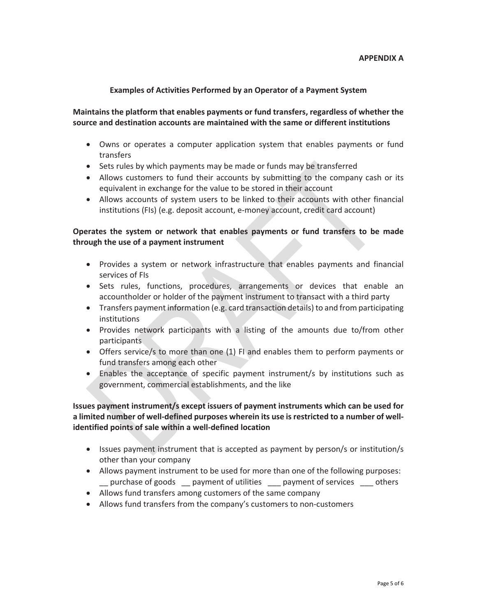#### **Examples of Activities Performed by an Operator of a Payment System**

**Maintains the platform that enables payments or fund transfers, regardless of whether the source and destination accounts are maintained with the same or different institutions**

- Owns or operates a computer application system that enables payments or fund transfers
- Sets rules by which payments may be made or funds may be transferred
- Allows customers to fund their accounts by submitting to the company cash or its equivalent in exchange for the value to be stored in their account
- Allows accounts of system users to be linked to their accounts with other financial institutions (FIs) (e.g. deposit account, e-money account, credit card account)

## **Operates the system or network that enables payments or fund transfers to be made through the use of a payment instrument**

- Provides a system or network infrastructure that enables payments and financial services of FIs
- Sets rules, functions, procedures, arrangements or devices that enable an accountholder or holder of the payment instrument to transact with a third party
- Transfers payment information (e.g. card transaction details) to and from participating institutions
- Provides network participants with a listing of the amounts due to/from other participants
- Offers service/s to more than one (1) FI and enables them to perform payments or fund transfers among each other
- Enables the acceptance of specific payment instrument/s by institutions such as government, commercial establishments, and the like

**Issues payment instrument/s except issuers of payment instruments which can be used for a limited number of well‐defined purposes wherein its use isrestricted to a number of well‐ identified points of sale within a well‐defined location**

- Issues payment instrument that is accepted as payment by person/s or institution/s other than your company
- Allows payment instrument to be used for more than one of the following purposes: \_\_ purchase of goods \_\_ payment of utilities \_\_\_ payment of services \_\_\_ others
- Allows fund transfers among customers of the same company
- Allows fund transfers from the company's customers to non‐customers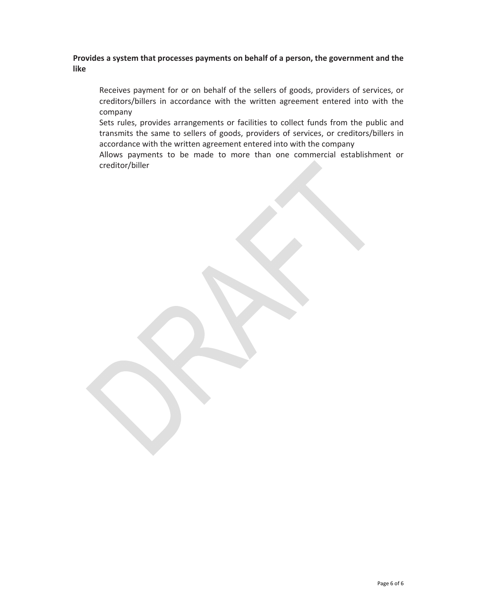## **Provides a system that processes payments on behalf of a person, the government and the like**

Receives payment for or on behalf of the sellers of goods, providers of services, or creditors/billers in accordance with the written agreement entered into with the company

Sets rules, provides arrangements or facilities to collect funds from the public and transmits the same to sellers of goods, providers of services, or creditors/billers in accordance with the written agreement entered into with the company

Allows payments to be made to more than one commercial establishment or creditor/biller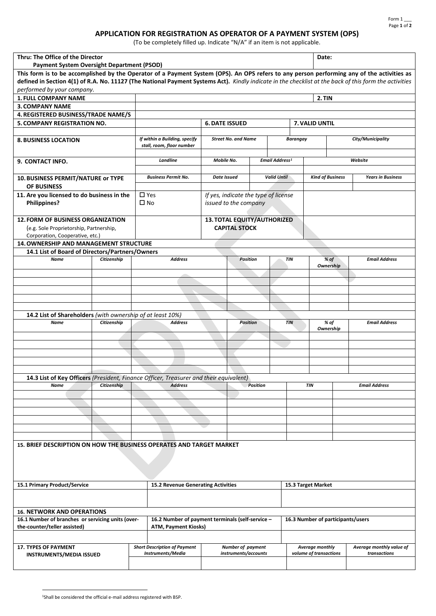### **APPLICATION FOR REGISTRATION AS OPERATOR OF A PAYMENT SYSTEM (OPS)**

(To be completely filled up. Indicate "N/A" if an item is not applicable.

<span id="page-6-0"></span>

| Thru: The Office of the Director                                                                                                                       |             |              |                                                                                                                                            |                                                               |                 |                 |                            |                        |                   | Date:                                       |                                   |  |  |
|--------------------------------------------------------------------------------------------------------------------------------------------------------|-------------|--------------|--------------------------------------------------------------------------------------------------------------------------------------------|---------------------------------------------------------------|-----------------|-----------------|----------------------------|------------------------|-------------------|---------------------------------------------|-----------------------------------|--|--|
| <b>Payment System Oversight Department (PSOD)</b>                                                                                                      |             |              | This form is to be accomplished by the Operator of a Payment System (OPS). An OPS refers to any person performing any of the activities as |                                                               |                 |                 |                            |                        |                   |                                             |                                   |  |  |
|                                                                                                                                                        |             |              |                                                                                                                                            |                                                               |                 |                 |                            |                        |                   |                                             |                                   |  |  |
| defined in Section 4(1) of R.A. No. 11127 (The National Payment Systems Act). Kindly indicate in the checklist at the back of this form the activities |             |              |                                                                                                                                            |                                                               |                 |                 |                            |                        |                   |                                             |                                   |  |  |
| performed by your company.                                                                                                                             |             |              |                                                                                                                                            |                                                               |                 |                 |                            |                        |                   |                                             |                                   |  |  |
| <b>1. FULL COMPANY NAME</b>                                                                                                                            |             |              |                                                                                                                                            |                                                               |                 |                 |                            |                        | 2. TIN            |                                             |                                   |  |  |
| <b>3. COMPANY NAME</b>                                                                                                                                 |             |              |                                                                                                                                            |                                                               |                 |                 |                            |                        |                   |                                             |                                   |  |  |
| 4. REGISTERED BUSINESS/TRADE NAME/S                                                                                                                    |             |              |                                                                                                                                            |                                                               |                 |                 |                            |                        |                   |                                             |                                   |  |  |
| 5. COMPANY REGISTRATION NO.                                                                                                                            |             |              |                                                                                                                                            | <b>6. DATE ISSUED</b>                                         |                 |                 |                            |                        |                   | 7. VALID UNTIL                              |                                   |  |  |
|                                                                                                                                                        |             |              |                                                                                                                                            |                                                               |                 |                 |                            |                        |                   |                                             |                                   |  |  |
| <b>8. BUSINESS LOCATION</b>                                                                                                                            |             |              | If within a Building, specify<br>stall, room, floor number                                                                                 | <b>Street No. and Name</b>                                    |                 |                 | Barangay                   |                        | City/Municipality |                                             |                                   |  |  |
|                                                                                                                                                        |             |              |                                                                                                                                            |                                                               |                 |                 |                            |                        |                   |                                             |                                   |  |  |
| 9. CONTACT INFO.                                                                                                                                       |             |              | Landline                                                                                                                                   | Mobile No.                                                    |                 |                 | Email Address <sup>1</sup> |                        |                   |                                             | Website                           |  |  |
|                                                                                                                                                        |             |              |                                                                                                                                            |                                                               |                 |                 |                            |                        |                   |                                             |                                   |  |  |
| 10. BUSINESS PERMIT/NATURE or TYPE                                                                                                                     |             |              | <b>Business Permit No.</b>                                                                                                                 | <b>Date Issued</b>                                            |                 |                 | <b>Valid Until</b>         |                        |                   | <b>Kind of Business</b>                     | <b>Years in Business</b>          |  |  |
| <b>OF BUSINESS</b>                                                                                                                                     |             |              |                                                                                                                                            |                                                               |                 |                 |                            |                        |                   |                                             |                                   |  |  |
| 11. Are you licensed to do business in the<br><b>Philippines?</b>                                                                                      |             | $\square$ No | $\square$ Yes                                                                                                                              | If yes, indicate the type of license<br>issued to the company |                 |                 |                            |                        |                   |                                             |                                   |  |  |
| <b>12. FORM OF BUSINESS ORGANIZATION</b>                                                                                                               |             |              |                                                                                                                                            | 13. TOTAL EQUITY/AUTHORIZED                                   |                 |                 |                            |                        |                   |                                             |                                   |  |  |
| (e.g. Sole Proprietorship, Partnership,                                                                                                                |             |              |                                                                                                                                            | <b>CAPITAL STOCK</b>                                          |                 |                 |                            |                        |                   |                                             |                                   |  |  |
| Corporation, Cooperative, etc.)                                                                                                                        |             |              |                                                                                                                                            |                                                               |                 |                 |                            |                        |                   |                                             |                                   |  |  |
| 14. OWNERSHIP AND MANAGEMENT STRUCTURE                                                                                                                 |             |              |                                                                                                                                            |                                                               |                 |                 |                            |                        |                   |                                             |                                   |  |  |
| 14.1 List of Board of Directors/Partners/Owners                                                                                                        |             |              |                                                                                                                                            |                                                               |                 |                 |                            |                        |                   |                                             |                                   |  |  |
| Name                                                                                                                                                   | Citizenship |              | <b>Address</b>                                                                                                                             |                                                               | <b>Position</b> | TIN             |                            |                        |                   | % of<br>Ownership                           | <b>Email Address</b>              |  |  |
|                                                                                                                                                        |             |              |                                                                                                                                            |                                                               |                 |                 |                            |                        |                   |                                             |                                   |  |  |
|                                                                                                                                                        |             |              |                                                                                                                                            |                                                               |                 |                 |                            |                        |                   |                                             |                                   |  |  |
|                                                                                                                                                        |             |              |                                                                                                                                            |                                                               |                 |                 |                            |                        |                   |                                             |                                   |  |  |
|                                                                                                                                                        |             |              |                                                                                                                                            |                                                               |                 |                 |                            |                        |                   |                                             |                                   |  |  |
|                                                                                                                                                        |             |              |                                                                                                                                            |                                                               |                 |                 |                            |                        |                   |                                             |                                   |  |  |
| 14.2 List of Shareholders (with ownership of at least 10%)                                                                                             |             |              |                                                                                                                                            |                                                               |                 |                 |                            |                        |                   |                                             |                                   |  |  |
| Name                                                                                                                                                   | Citizenship |              | <b>Address</b>                                                                                                                             |                                                               | <b>Position</b> |                 | <b>TIN</b>                 |                        |                   | % of                                        | <b>Email Address</b>              |  |  |
|                                                                                                                                                        |             |              |                                                                                                                                            |                                                               |                 |                 |                            | Ownership              |                   |                                             |                                   |  |  |
|                                                                                                                                                        |             |              |                                                                                                                                            |                                                               |                 |                 |                            |                        |                   |                                             |                                   |  |  |
|                                                                                                                                                        |             |              |                                                                                                                                            |                                                               |                 |                 |                            |                        |                   |                                             |                                   |  |  |
|                                                                                                                                                        |             |              |                                                                                                                                            |                                                               |                 |                 |                            |                        |                   |                                             |                                   |  |  |
|                                                                                                                                                        |             |              |                                                                                                                                            |                                                               |                 |                 |                            |                        |                   |                                             |                                   |  |  |
|                                                                                                                                                        |             |              |                                                                                                                                            |                                                               |                 |                 |                            |                        |                   |                                             |                                   |  |  |
| 14.3 List of Key Officers (President, Finance Officer, Treasurer and their equivalent)                                                                 |             |              |                                                                                                                                            |                                                               |                 |                 |                            |                        |                   |                                             |                                   |  |  |
| Name                                                                                                                                                   | Citizenship |              | <b>Address</b>                                                                                                                             |                                                               |                 | <b>Position</b> |                            |                        | <b>TIN</b>        |                                             | <b>Email Address</b>              |  |  |
|                                                                                                                                                        |             |              |                                                                                                                                            |                                                               |                 |                 |                            |                        |                   |                                             |                                   |  |  |
|                                                                                                                                                        |             |              |                                                                                                                                            |                                                               |                 |                 |                            |                        |                   |                                             |                                   |  |  |
|                                                                                                                                                        |             |              |                                                                                                                                            |                                                               |                 |                 |                            |                        |                   |                                             |                                   |  |  |
|                                                                                                                                                        |             |              |                                                                                                                                            |                                                               |                 |                 |                            |                        |                   |                                             |                                   |  |  |
|                                                                                                                                                        |             |              |                                                                                                                                            |                                                               |                 |                 |                            |                        |                   |                                             |                                   |  |  |
|                                                                                                                                                        |             |              |                                                                                                                                            |                                                               |                 |                 |                            |                        |                   |                                             |                                   |  |  |
| 15. BRIEF DESCRIPTION ON HOW THE BUSINESS OPERATES AND TARGET MARKET                                                                                   |             |              |                                                                                                                                            |                                                               |                 |                 |                            |                        |                   |                                             |                                   |  |  |
|                                                                                                                                                        |             |              |                                                                                                                                            |                                                               |                 |                 |                            |                        |                   |                                             |                                   |  |  |
| 15.1 Primary Product/Service                                                                                                                           |             |              | 15.2 Revenue Generating Activities<br>15.3 Target Market                                                                                   |                                                               |                 |                 |                            |                        |                   |                                             |                                   |  |  |
|                                                                                                                                                        |             |              |                                                                                                                                            |                                                               |                 |                 |                            |                        |                   |                                             |                                   |  |  |
|                                                                                                                                                        |             |              |                                                                                                                                            |                                                               |                 |                 |                            |                        |                   |                                             |                                   |  |  |
| <b>16. NETWORK AND OPERATIONS</b>                                                                                                                      |             |              |                                                                                                                                            |                                                               |                 |                 |                            |                        |                   |                                             |                                   |  |  |
| 16.1 Number of branches or servicing units (over-<br>the-counter/teller assisted)                                                                      |             |              | 16.2 Number of payment terminals (self-service -<br><b>ATM, Payment Kiosks)</b>                                                            |                                                               |                 |                 |                            |                        |                   |                                             | 16.3 Number of participants/users |  |  |
|                                                                                                                                                        |             |              |                                                                                                                                            |                                                               |                 |                 |                            |                        |                   |                                             |                                   |  |  |
| <b>17. TYPES OF PAYMENT</b>                                                                                                                            |             |              | Number of payment<br><b>Short Description of Payment</b>                                                                                   |                                                               |                 |                 |                            |                        |                   | Average monthly<br>Average monthly value of |                                   |  |  |
| <b>INSTRUMENTS/MEDIA ISSUED</b>                                                                                                                        |             |              | Instruments/Media                                                                                                                          | instruments/accounts                                          |                 |                 |                            | volume of transactions |                   |                                             | transactions                      |  |  |
|                                                                                                                                                        |             |              |                                                                                                                                            |                                                               |                 |                 |                            |                        |                   |                                             |                                   |  |  |
|                                                                                                                                                        |             |              |                                                                                                                                            |                                                               |                 |                 |                            |                        |                   |                                             |                                   |  |  |